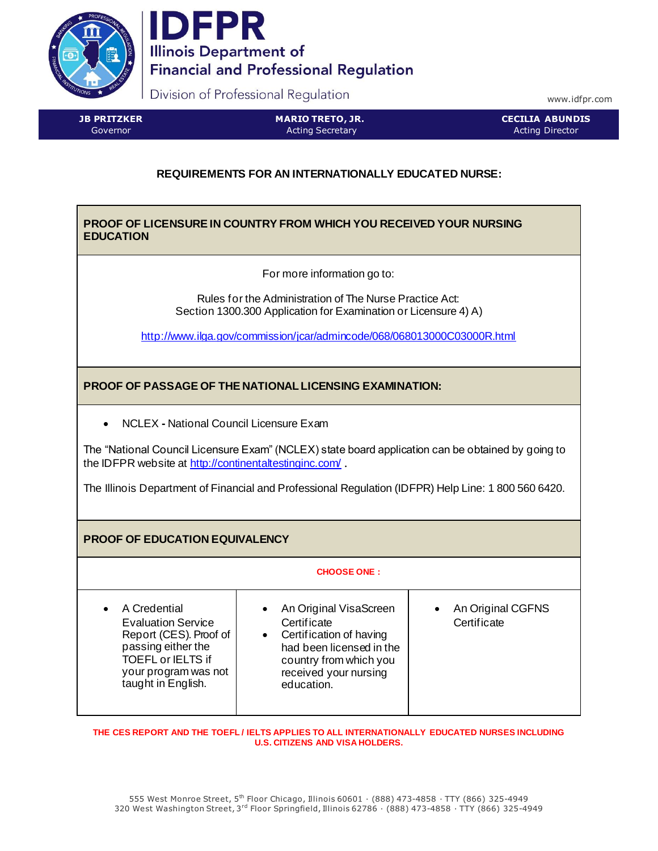



Division of Professional Regulation

www.idfpr.com

**JB PRITZKER** Governor

**MARIO TRETO, JR.** Acting Secretary

**CECILIA ABUNDIS** Acting Director

# **REQUIREMENTS FOR AN INTERNATIONALLY EDUCATED NURSE:**

## **PROOF OF LICENSURE IN COUNTRY FROM WHICH YOU RECEIVED YOUR NURSING EDUCATION**

For more information go to:

Rules for the Administration of The Nurse Practice Act: Section 1300.300 Application for Examination or Licensure 4) A)

<http://www.ilga.gov/commission/jcar/admincode/068/068013000C03000R.html>

**PROOF OF PASSAGE OF THE NATIONAL LICENSING EXAMINATION:**

• NCLEX **-** National Council Licensure Exam

The "National Council Licensure Exam" (NCLEX) state board application can be obtained by going to the IDFPR website a[t http://continentaltestinginc.com/](http://continentaltestinginc.com/).

The Illinois Department of Financial and Professional Regulation (IDFPR) Help Line: 1 800 560 6420.

**PROOF OF EDUCATION EQUIVALENCY**

| <b>CHOOSE ONE</b> |  |  |  |  |
|-------------------|--|--|--|--|
|                   |  |  |  |  |
|                   |  |  |  |  |

| A Credential<br>$\bullet$<br><b>Evaluation Service</b><br>Report (CES). Proof of<br>passing either the<br><b>TOEFL or IELTS if</b><br>your program was not<br>taught in English. | An Original VisaScreen<br>Certificate<br>Certification of having<br>$\bullet$<br>had been licensed in the<br>country from which you<br>received your nursing<br>education. | An Original CGFNS<br>Certificate |
|----------------------------------------------------------------------------------------------------------------------------------------------------------------------------------|----------------------------------------------------------------------------------------------------------------------------------------------------------------------------|----------------------------------|
|----------------------------------------------------------------------------------------------------------------------------------------------------------------------------------|----------------------------------------------------------------------------------------------------------------------------------------------------------------------------|----------------------------------|

**THE CES REPORT AND THE TOEFL / IELTS APPLIES TO ALL INTERNATIONALLY EDUCATED NURSES INCLUDING U.S. CITIZENS AND VISA HOLDERS.**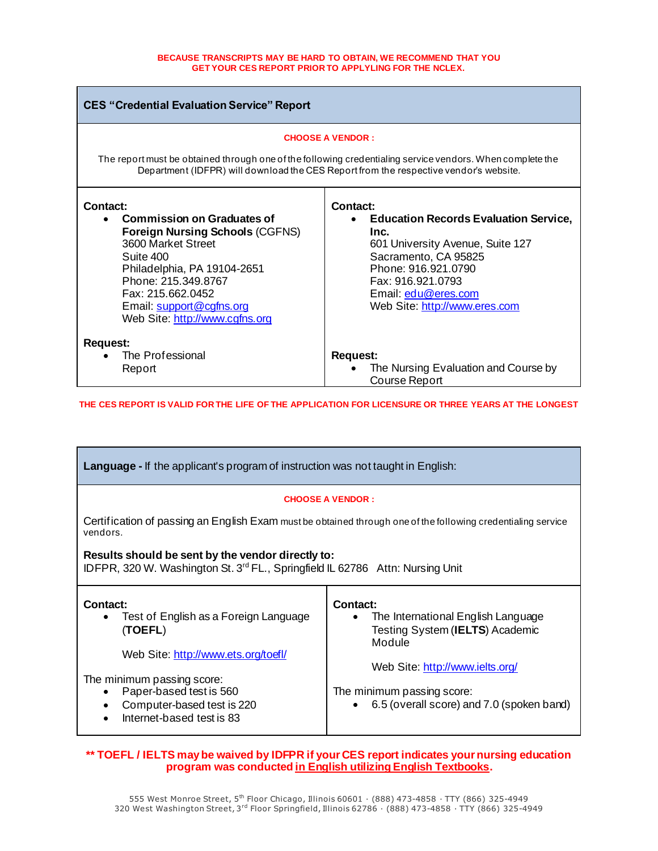#### **BECAUSE TRANSCRIPTS MAY BE HARD TO OBTAIN, WE RECOMMEND THAT YOU GET YOUR CES REPORT PRIOR TO APPLYLING FOR THE NCLEX.**

| <b>CES "Credential Evaluation Service" Report</b>                                                                                                                                                                                                                                  |                                                                                                                                                                                                                                         |  |  |  |  |
|------------------------------------------------------------------------------------------------------------------------------------------------------------------------------------------------------------------------------------------------------------------------------------|-----------------------------------------------------------------------------------------------------------------------------------------------------------------------------------------------------------------------------------------|--|--|--|--|
| <b>CHOOSE A VENDOR:</b><br>The report must be obtained through one of the following credentialing service vendors. When complete the<br>Department (IDFPR) will download the CES Report from the respective vendor's website.                                                      |                                                                                                                                                                                                                                         |  |  |  |  |
| Contact:<br><b>Commission on Graduates of</b><br>$\bullet$<br><b>Foreign Nursing Schools (CGFNS)</b><br>3600 Market Street<br>Suite 400<br>Philadelphia, PA 19104-2651<br>Phone: 215, 349, 8767<br>Fax: 215.662.0452<br>Email: support@cgfns.org<br>Web Site: http://www.cgfns.org | <b>Contact:</b><br><b>Education Records Evaluation Service,</b><br>Inc.<br>601 University Avenue, Suite 127<br>Sacramento, CA 95825<br>Phone: 916.921.0790<br>Fax: 916.921.0793<br>Email: edu@eres.com<br>Web Site: http://www.eres.com |  |  |  |  |
| <b>Request:</b><br>The Professional<br>Report                                                                                                                                                                                                                                      | <b>Request:</b><br>The Nursing Evaluation and Course by<br>Course Report                                                                                                                                                                |  |  |  |  |

**THE CES REPORT IS VALID FOR THE LIFE OF THE APPLICATION FOR LICENSURE OR THREE YEARS AT THE LONGEST**

| <b>Language</b> - If the applicant's program of instruction was not taught in English:                                                                                                                                                                 |                                                                                                                                                                                                                                     |  |  |  |  |  |
|--------------------------------------------------------------------------------------------------------------------------------------------------------------------------------------------------------------------------------------------------------|-------------------------------------------------------------------------------------------------------------------------------------------------------------------------------------------------------------------------------------|--|--|--|--|--|
| <b>CHOOSE A VENDOR:</b>                                                                                                                                                                                                                                |                                                                                                                                                                                                                                     |  |  |  |  |  |
| Certification of passing an English Exam must be obtained through one of the following credentialing service<br>vendors.                                                                                                                               |                                                                                                                                                                                                                                     |  |  |  |  |  |
| Results should be sent by the vendor directly to:<br>IDFPR, 320 W. Washington St. 3 <sup>rd</sup> FL., Springfield IL 62786 Attn: Nursing Unit                                                                                                         |                                                                                                                                                                                                                                     |  |  |  |  |  |
| Contact:<br>Test of English as a Foreign Language<br>٠<br>(TOEFL)<br>Web Site: http://www.ets.org/toefl/<br>The minimum passing score:<br>Paper-based test is 560<br>$\bullet$<br>Computer-based test is 220<br>$\bullet$<br>Internet-based test is 83 | Contact:<br>The International English Language<br>$\bullet$<br>Testing System (IELTS) Academic<br>Module<br>Web Site: http://www.ielts.org/<br>The minimum passing score:<br>6.5 (overall score) and 7.0 (spoken band)<br>$\bullet$ |  |  |  |  |  |

### **\*\* TOEFL / IELTS may be waived by IDFPR if your CES report indicates your nursing education program was conducted in English utilizing English Textbooks.**